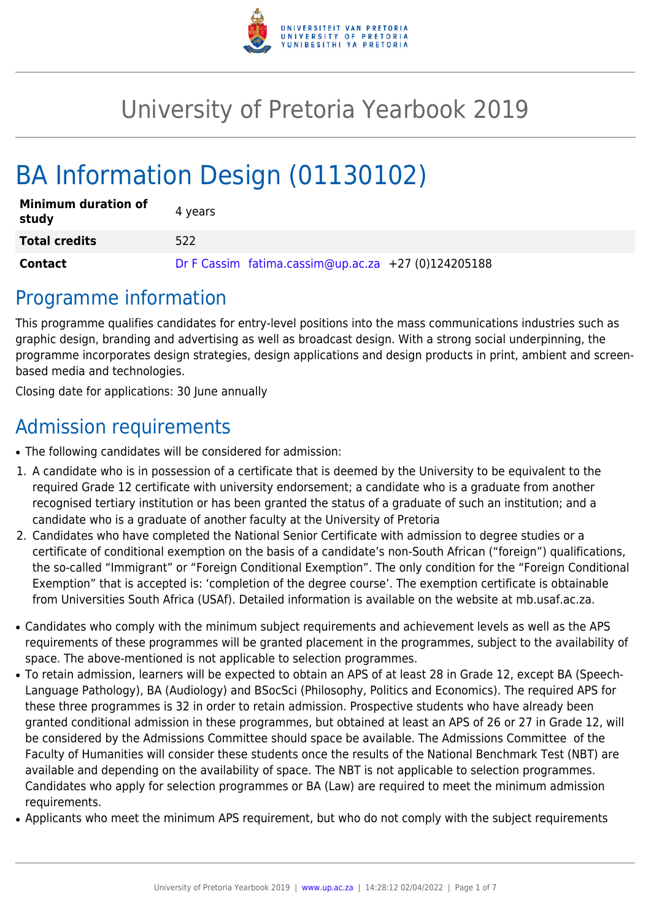

# University of Pretoria Yearbook 2019

# BA Information Design (01130102)

| <b>Minimum duration of</b><br>study | 4 years                                             |
|-------------------------------------|-----------------------------------------------------|
| <b>Total credits</b>                | 522                                                 |
| <b>Contact</b>                      | Dr F Cassim fatima.cassim@up.ac.za +27 (0)124205188 |

### Programme information

This programme qualifies candidates for entry-level positions into the mass communications industries such as graphic design, branding and advertising as well as broadcast design. With a strong social underpinning, the programme incorporates design strategies, design applications and design products in print, ambient and screenbased media and technologies.

Closing date for applications: 30 June annually

# Admission requirements

- The following candidates will be considered for admission:
- 1. A candidate who is in possession of a certificate that is deemed by the University to be equivalent to the required Grade 12 certificate with university endorsement; a candidate who is a graduate from another recognised tertiary institution or has been granted the status of a graduate of such an institution; and a candidate who is a graduate of another faculty at the University of Pretoria
- 2. Candidates who have completed the National Senior Certificate with admission to degree studies or a certificate of conditional exemption on the basis of a candidate's non-South African ("foreign") qualifications, the so-called "Immigrant" or "Foreign Conditional Exemption". The only condition for the "Foreign Conditional Exemption" that is accepted is: 'completion of the degree course'. The exemption certificate is obtainable from Universities South Africa (USAf). Detailed information is available on the website at mb.usaf.ac.za.
- Candidates who comply with the minimum subject requirements and achievement levels as well as the APS requirements of these programmes will be granted placement in the programmes, subject to the availability of space. The above-mentioned is not applicable to selection programmes.
- To retain admission, learners will be expected to obtain an APS of at least 28 in Grade 12, except BA (Speech-Language Pathology), BA (Audiology) and BSocSci (Philosophy, Politics and Economics). The required APS for these three programmes is 32 in order to retain admission. Prospective students who have already been granted conditional admission in these programmes, but obtained at least an APS of 26 or 27 in Grade 12, will be considered by the Admissions Committee should space be available. The Admissions Committee of the Faculty of Humanities will consider these students once the results of the National Benchmark Test (NBT) are available and depending on the availability of space. The NBT is not applicable to selection programmes. Candidates who apply for selection programmes or BA (Law) are required to meet the minimum admission requirements.
- Applicants who meet the minimum APS requirement, but who do not comply with the subject requirements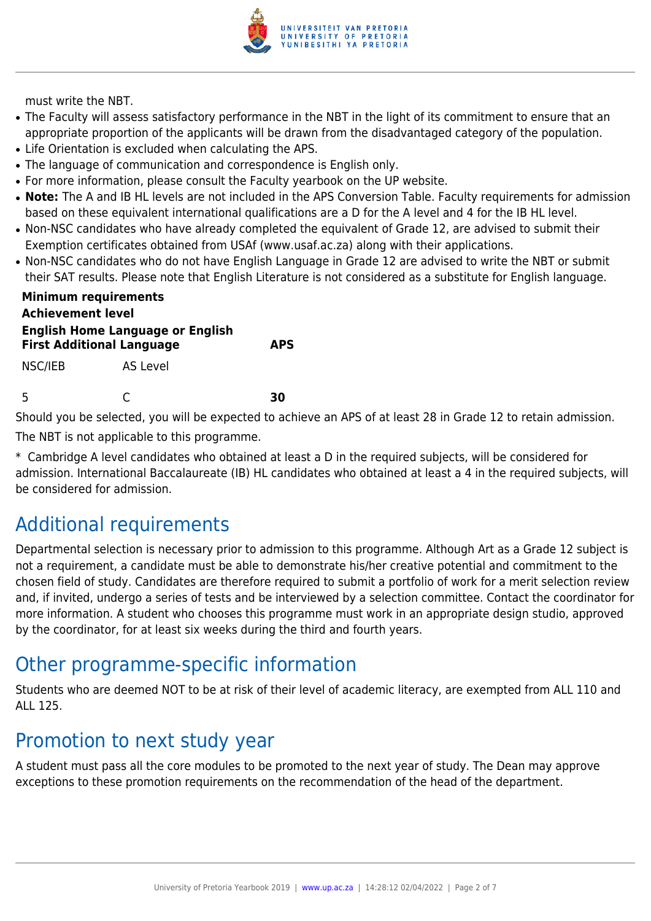

must write the NBT.

- The Faculty will assess satisfactory performance in the NBT in the light of its commitment to ensure that an appropriate proportion of the applicants will be drawn from the disadvantaged category of the population.
- Life Orientation is excluded when calculating the APS.
- The language of communication and correspondence is English only.
- For more information, please consult the Faculty yearbook on the UP website.
- Note: The A and IB HL levels are not included in the APS Conversion Table. Faculty requirements for admission based on these equivalent international qualifications are a D for the A level and 4 for the IB HL level.
- Non-NSC candidates who have already completed the equivalent of Grade 12, are advised to submit their Exemption certificates obtained from USAf (www.usaf.ac.za) along with their applications.
- Non-NSC candidates who do not have English Language in Grade 12 are advised to write the NBT or submit their SAT results. Please note that English Literature is not considered as a substitute for English language.

| <b>Minimum requirements</b><br><b>Achievement level</b><br><b>English Home Language or English</b><br><b>First Additional Language</b><br><b>APS</b> |          |    |  |
|------------------------------------------------------------------------------------------------------------------------------------------------------|----------|----|--|
| NSC/IEB                                                                                                                                              | AS Level |    |  |
| -5                                                                                                                                                   |          | RЛ |  |

Should you be selected, you will be expected to achieve an APS of at least 28 in Grade 12 to retain admission.

The NBT is not applicable to this programme.

\* Cambridge A level candidates who obtained at least a D in the required subjects, will be considered for admission. International Baccalaureate (IB) HL candidates who obtained at least a 4 in the required subjects, will be considered for admission.

### Additional requirements

Departmental selection is necessary prior to admission to this programme. Although Art as a Grade 12 subject is not a requirement, a candidate must be able to demonstrate his/her creative potential and commitment to the chosen field of study. Candidates are therefore required to submit a portfolio of work for a merit selection review and, if invited, undergo a series of tests and be interviewed by a selection committee. Contact the coordinator for more information. A student who chooses this programme must work in an appropriate design studio, approved by the coordinator, for at least six weeks during the third and fourth years.

### Other programme-specific information

Students who are deemed NOT to be at risk of their level of academic literacy, are exempted from ALL 110 and ALL 125.

### Promotion to next study year

A student must pass all the core modules to be promoted to the next year of study. The Dean may approve exceptions to these promotion requirements on the recommendation of the head of the department.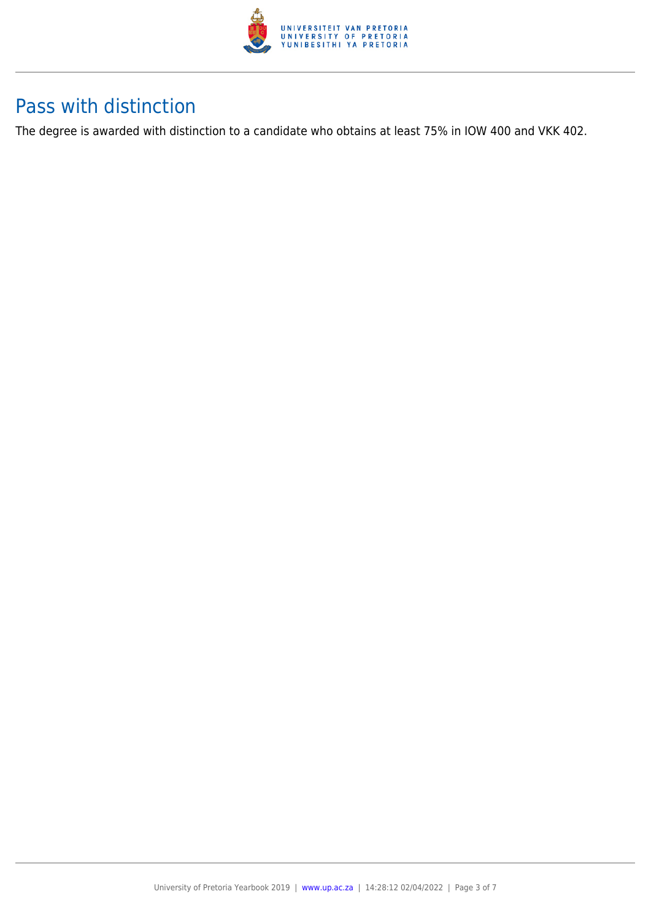

### Pass with distinction

The degree is awarded with distinction to a candidate who obtains at least 75% in IOW 400 and VKK 402.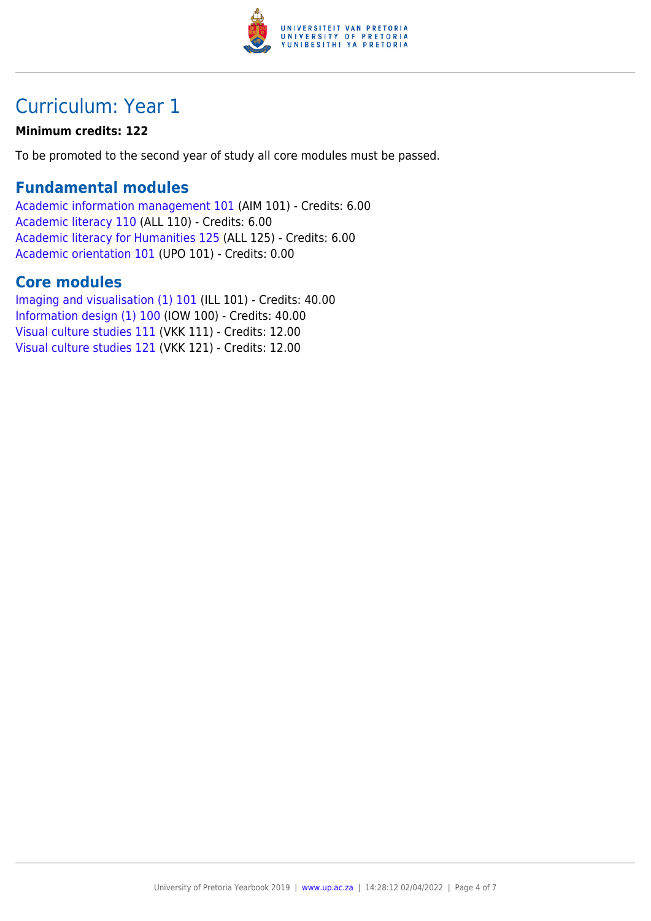

## Curriculum: Year 1

#### **Minimum credits: 122**

To be promoted to the second year of study all core modules must be passed.

#### **Fundamental modules**

[Academic information management 101](https://www.up.ac.za/yearbooks/2019/modules/view/AIM 101) (AIM 101) - Credits: 6.00 [Academic literacy 110](https://www.up.ac.za/yearbooks/2019/modules/view/ALL 110) (ALL 110) - Credits: 6.00 [Academic literacy for Humanities 125](https://www.up.ac.za/yearbooks/2019/modules/view/ALL 125) (ALL 125) - Credits: 6.00 [Academic orientation 101](https://www.up.ac.za/yearbooks/2019/modules/view/UPO 101) (UPO 101) - Credits: 0.00

### **Core modules**

[Imaging and visualisation \(1\) 101](https://www.up.ac.za/yearbooks/2019/modules/view/ILL 101) (ILL 101) - Credits: 40.00 [Information design \(1\) 100](https://www.up.ac.za/yearbooks/2019/modules/view/IOW 100) (IOW 100) - Credits: 40.00 [Visual culture studies 111](https://www.up.ac.za/yearbooks/2019/modules/view/VKK 111) (VKK 111) - Credits: 12.00 [Visual culture studies 121](https://www.up.ac.za/yearbooks/2019/modules/view/VKK 121) (VKK 121) - Credits: 12.00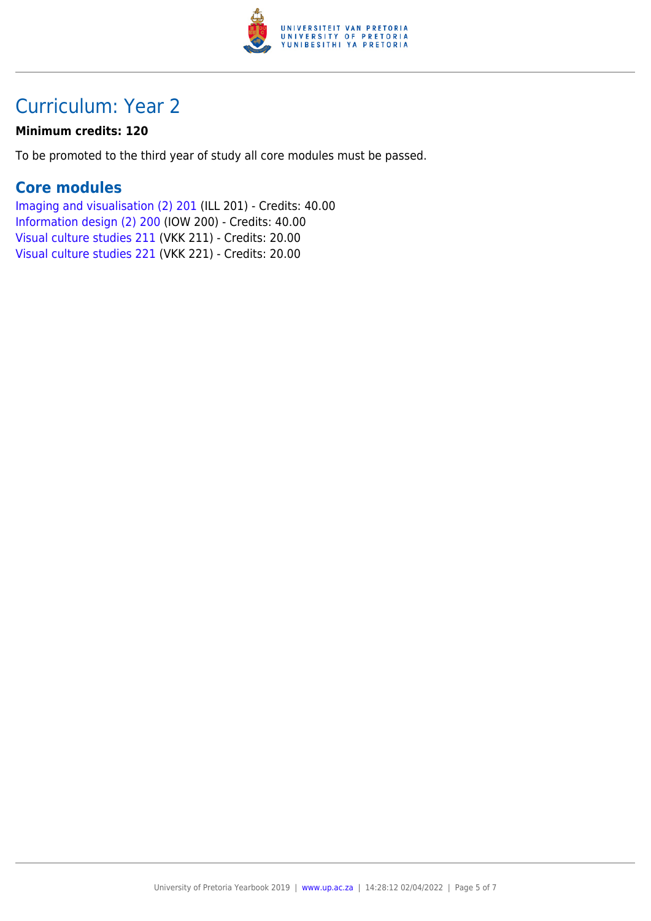

## Curriculum: Year 2

#### **Minimum credits: 120**

To be promoted to the third year of study all core modules must be passed.

### **Core modules**

[Imaging and visualisation \(2\) 201](https://www.up.ac.za/yearbooks/2019/modules/view/ILL 201) (ILL 201) - Credits: 40.00 [Information design \(2\) 200](https://www.up.ac.za/yearbooks/2019/modules/view/IOW 200) (IOW 200) - Credits: 40.00 [Visual culture studies 211](https://www.up.ac.za/yearbooks/2019/modules/view/VKK 211) (VKK 211) - Credits: 20.00 [Visual culture studies 221](https://www.up.ac.za/yearbooks/2019/modules/view/VKK 221) (VKK 221) - Credits: 20.00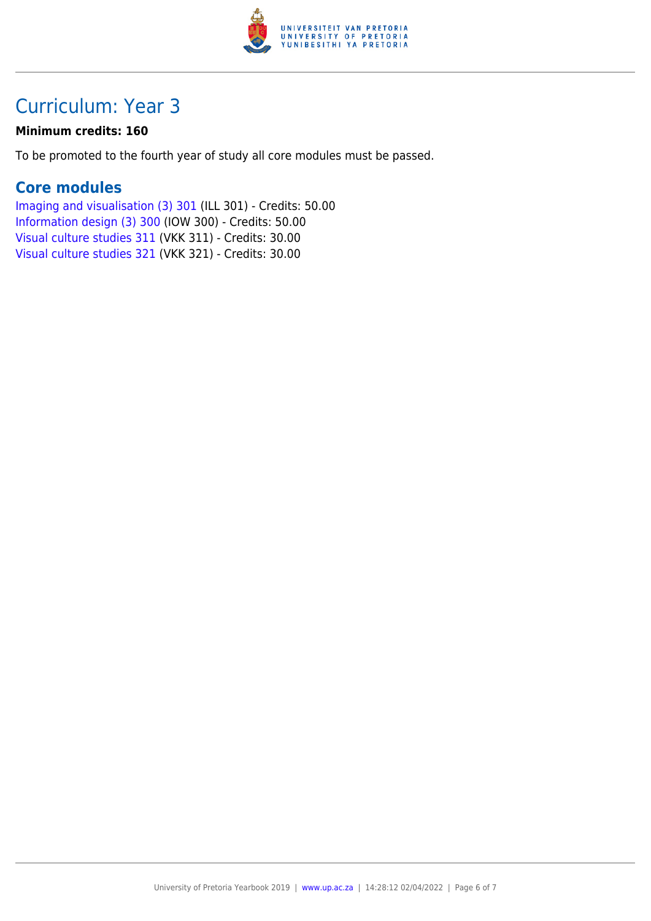

## Curriculum: Year 3

#### **Minimum credits: 160**

To be promoted to the fourth year of study all core modules must be passed.

### **Core modules**

[Imaging and visualisation \(3\) 301](https://www.up.ac.za/yearbooks/2019/modules/view/ILL 301) (ILL 301) - Credits: 50.00 [Information design \(3\) 300](https://www.up.ac.za/yearbooks/2019/modules/view/IOW 300) (IOW 300) - Credits: 50.00 [Visual culture studies 311](https://www.up.ac.za/yearbooks/2019/modules/view/VKK 311) (VKK 311) - Credits: 30.00 [Visual culture studies 321](https://www.up.ac.za/yearbooks/2019/modules/view/VKK 321) (VKK 321) - Credits: 30.00